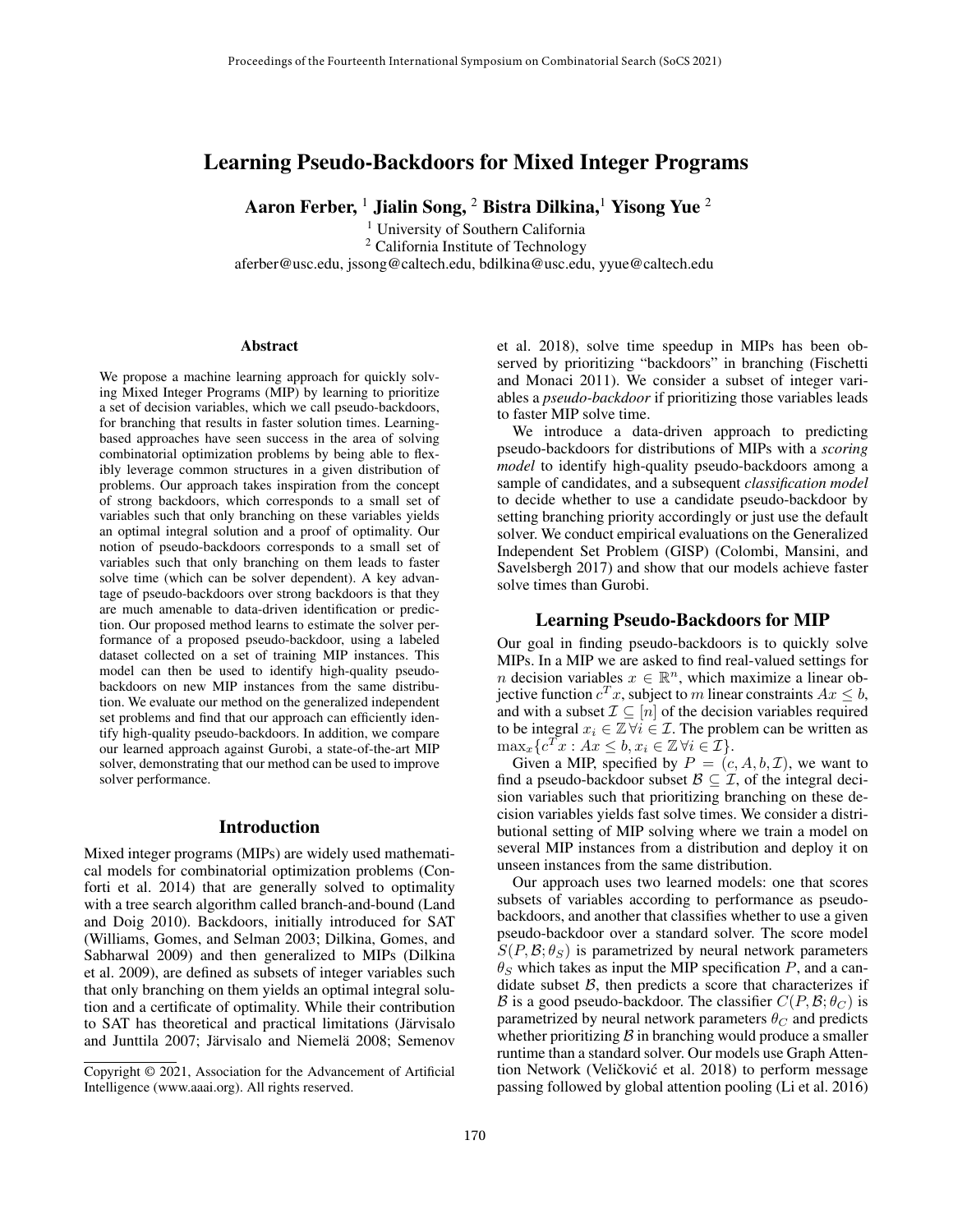# Learning Pseudo-Backdoors for Mixed Integer Programs

Aaron Ferber, <sup>1</sup> Jialin Song, <sup>2</sup> Bistra Dilkina, <sup>1</sup> Yisong Yue <sup>2</sup>

<sup>1</sup> University of Southern California <sup>2</sup> California Institute of Technology aferber@usc.edu, jssong@caltech.edu, bdilkina@usc.edu, yyue@caltech.edu

#### **Abstract**

We propose a machine learning approach for quickly solving Mixed Integer Programs (MIP) by learning to prioritize a set of decision variables, which we call pseudo-backdoors, for branching that results in faster solution times. Learningbased approaches have seen success in the area of solving combinatorial optimization problems by being able to flexibly leverage common structures in a given distribution of problems. Our approach takes inspiration from the concept of strong backdoors, which corresponds to a small set of variables such that only branching on these variables yields an optimal integral solution and a proof of optimality. Our notion of pseudo-backdoors corresponds to a small set of variables such that only branching on them leads to faster solve time (which can be solver dependent). A key advantage of pseudo-backdoors over strong backdoors is that they are much amenable to data-driven identification or prediction. Our proposed method learns to estimate the solver performance of a proposed pseudo-backdoor, using a labeled dataset collected on a set of training MIP instances. This model can then be used to identify high-quality pseudobackdoors on new MIP instances from the same distribution. We evaluate our method on the generalized independent set problems and find that our approach can efficiently identify high-quality pseudo-backdoors. In addition, we compare our learned approach against Gurobi, a state-of-the-art MIP solver, demonstrating that our method can be used to improve solver performance.

### Introduction

Mixed integer programs (MIPs) are widely used mathematical models for combinatorial optimization problems (Conforti et al. 2014) that are generally solved to optimality with a tree search algorithm called branch-and-bound (Land and Doig 2010). Backdoors, initially introduced for SAT (Williams, Gomes, and Selman 2003; Dilkina, Gomes, and Sabharwal 2009) and then generalized to MIPs (Dilkina et al. 2009), are defined as subsets of integer variables such that only branching on them yields an optimal integral solution and a certificate of optimality. While their contribution to SAT has theoretical and practical limitations (Järvisalo and Junttila 2007; Järvisalo and Niemelä 2008; Semenov et al. 2018), solve time speedup in MIPs has been observed by prioritizing "backdoors" in branching (Fischetti and Monaci 2011). We consider a subset of integer variables a *pseudo-backdoor* if prioritizing those variables leads to faster MIP solve time.

We introduce a data-driven approach to predicting pseudo-backdoors for distributions of MIPs with a *scoring model* to identify high-quality pseudo-backdoors among a sample of candidates, and a subsequent *classification model* to decide whether to use a candidate pseudo-backdoor by setting branching priority accordingly or just use the default solver. We conduct empirical evaluations on the Generalized Independent Set Problem (GISP) (Colombi, Mansini, and Savelsbergh 2017) and show that our models achieve faster solve times than Gurobi.

#### Learning Pseudo-Backdoors for MIP

Our goal in finding pseudo-backdoors is to quickly solve MIPs. In a MIP we are asked to find real-valued settings for *n* decision variables  $x \in \mathbb{R}^n$ , which maximize a linear objective function  $c^T x$ , subject to m linear constraints  $Ax \leq b$ , and with a subset  $\mathcal{I} \subseteq [n]$  of the decision variables required to be integral  $x_i \in \mathbb{Z} \forall i \in \mathcal{I}$ . The problem can be written as  $\max_x \{ c^T x : Ax \leq b, x_i \in \mathbb{Z} \, \forall i \in \mathcal{I} \}.$ 

Given a MIP, specified by  $P = (c, A, b, \mathcal{I})$ , we want to find a pseudo-backdoor subset  $B \subseteq \mathcal{I}$ , of the integral decision variables such that prioritizing branching on these decision variables yields fast solve times. We consider a distributional setting of MIP solving where we train a model on several MIP instances from a distribution and deploy it on unseen instances from the same distribution.

Our approach uses two learned models: one that scores subsets of variables according to performance as pseudobackdoors, and another that classifies whether to use a given pseudo-backdoor over a standard solver. The score model  $S(P, B; \theta_S)$  is parametrized by neural network parameters  $\theta_S$  which takes as input the MIP specification P, and a candidate subset  $\beta$ , then predicts a score that characterizes if B is a good pseudo-backdoor. The classifier  $C(P, \mathcal{B}; \theta_C)$  is parametrized by neural network parameters  $\theta_C$  and predicts whether prioritizing  $\beta$  in branching would produce a smaller runtime than a standard solver. Our models use Graph Attention Network (Veličković et al. 2018) to perform message passing followed by global attention pooling (Li et al. 2016)

Copyright © 2021, Association for the Advancement of Artificial Intelligence (www.aaai.org). All rights reserved.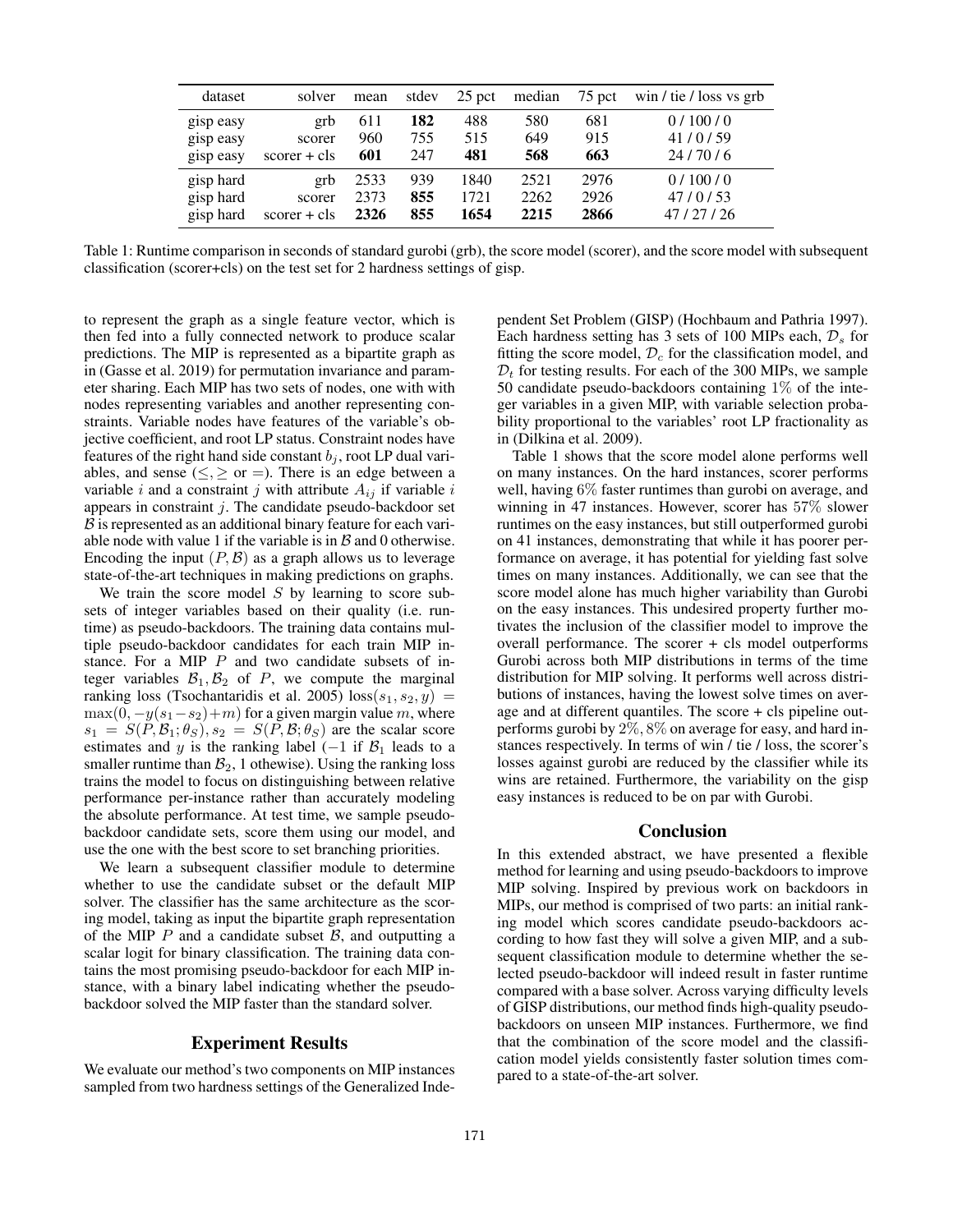| dataset   | solver         | mean | stdev | 25 pct | median | 75 pct | win / tie / loss vs grb |
|-----------|----------------|------|-------|--------|--------|--------|-------------------------|
| gisp easy | grb            | 611  | 182   | 488    | 580    | 681    | 0/100/0                 |
| gisp easy | scorer         | 960  | 755   | 515    | 649    | 915    | 41/0/59                 |
| gisp easy | $scorer + cls$ | 601  | 247   | 481    | 568    | 663    | 24/70/6                 |
| gisp hard | grb            | 2533 | 939   | 1840   | 2521   | 2976   | 0/100/0                 |
| gisp hard | scorer         | 2373 | 855   | 1721   | 2262   | 2926   | 47/0/53                 |
| gisp hard | $score + cls$  | 2326 | 855   | 1654   | 2215   | 2866   | 47/27/26                |

Table 1: Runtime comparison in seconds of standard gurobi (grb), the score model (scorer), and the score model with subsequent classification (scorer+cls) on the test set for 2 hardness settings of gisp.

to represent the graph as a single feature vector, which is then fed into a fully connected network to produce scalar predictions. The MIP is represented as a bipartite graph as in (Gasse et al. 2019) for permutation invariance and parameter sharing. Each MIP has two sets of nodes, one with with nodes representing variables and another representing constraints. Variable nodes have features of the variable's objective coefficient, and root LP status. Constraint nodes have features of the right hand side constant  $b_i$ , root LP dual variables, and sense ( $\leq, \geq$  or =). There is an edge between a variable i and a constraint j with attribute  $A_{ij}$  if variable i appears in constraint  $j$ . The candidate pseudo-backdoor set  $\beta$  is represented as an additional binary feature for each variable node with value 1 if the variable is in  $\beta$  and 0 otherwise. Encoding the input  $(P, \mathcal{B})$  as a graph allows us to leverage state-of-the-art techniques in making predictions on graphs.

We train the score model  $S$  by learning to score subsets of integer variables based on their quality (i.e. runtime) as pseudo-backdoors. The training data contains multiple pseudo-backdoor candidates for each train MIP instance. For a MIP  $P$  and two candidate subsets of integer variables  $\mathcal{B}_1, \mathcal{B}_2$  of P, we compute the marginal ranking loss (Tsochantaridis et al. 2005)  $loss(s_1, s_2, y)$  =  $\max(0, -y(s_1-s_2)+m)$  for a given margin value m, where  $s_1 = S(P, \mathcal{B}_1; \theta_S), s_2 = S(P, \mathcal{B}; \theta_S)$  are the scalar score estimates and y is the ranking label (−1 if  $\mathcal{B}_1$  leads to a smaller runtime than  $B_2$ , 1 othewise). Using the ranking loss trains the model to focus on distinguishing between relative performance per-instance rather than accurately modeling the absolute performance. At test time, we sample pseudobackdoor candidate sets, score them using our model, and use the one with the best score to set branching priorities.

We learn a subsequent classifier module to determine whether to use the candidate subset or the default MIP solver. The classifier has the same architecture as the scoring model, taking as input the bipartite graph representation of the MIP  $P$  and a candidate subset  $B$ , and outputting a scalar logit for binary classification. The training data contains the most promising pseudo-backdoor for each MIP instance, with a binary label indicating whether the pseudobackdoor solved the MIP faster than the standard solver.

## Experiment Results

We evaluate our method's two components on MIP instances sampled from two hardness settings of the Generalized Independent Set Problem (GISP) (Hochbaum and Pathria 1997). Each hardness setting has 3 sets of 100 MIPs each,  $\mathcal{D}_s$  for fitting the score model,  $\mathcal{D}_c$  for the classification model, and  $D_t$  for testing results. For each of the 300 MIPs, we sample 50 candidate pseudo-backdoors containing  $1\%$  of the integer variables in a given MIP, with variable selection probability proportional to the variables' root LP fractionality as in (Dilkina et al. 2009).

Table 1 shows that the score model alone performs well on many instances. On the hard instances, scorer performs well, having 6% faster runtimes than gurobi on average, and winning in 47 instances. However, scorer has 57% slower runtimes on the easy instances, but still outperformed gurobi on 41 instances, demonstrating that while it has poorer performance on average, it has potential for yielding fast solve times on many instances. Additionally, we can see that the score model alone has much higher variability than Gurobi on the easy instances. This undesired property further motivates the inclusion of the classifier model to improve the overall performance. The scorer + cls model outperforms Gurobi across both MIP distributions in terms of the time distribution for MIP solving. It performs well across distributions of instances, having the lowest solve times on average and at different quantiles. The score + cls pipeline outperforms gurobi by  $2\%$ ,  $8\%$  on average for easy, and hard instances respectively. In terms of win / tie / loss, the scorer's losses against gurobi are reduced by the classifier while its wins are retained. Furthermore, the variability on the gisp easy instances is reduced to be on par with Gurobi.

#### Conclusion

In this extended abstract, we have presented a flexible method for learning and using pseudo-backdoors to improve MIP solving. Inspired by previous work on backdoors in MIPs, our method is comprised of two parts: an initial ranking model which scores candidate pseudo-backdoors according to how fast they will solve a given MIP, and a subsequent classification module to determine whether the selected pseudo-backdoor will indeed result in faster runtime compared with a base solver. Across varying difficulty levels of GISP distributions, our method finds high-quality pseudobackdoors on unseen MIP instances. Furthermore, we find that the combination of the score model and the classification model yields consistently faster solution times compared to a state-of-the-art solver.